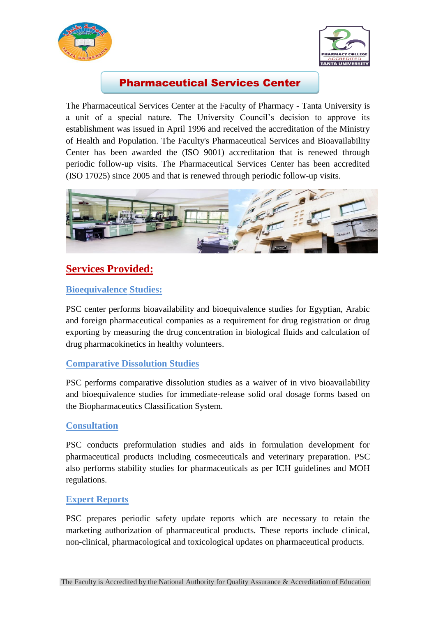



## Pharmaceutical Services Center

The Pharmaceutical Services Center at the Faculty of Pharmacy - Tanta University is a unit of a special nature. The University Council's decision to approve its establishment was issued in April 1996 and received the accreditation of the Ministry of Health and Population. The Faculty's Pharmaceutical Services and Bioavailability Center has been awarded the (ISO 9001) accreditation that is renewed through periodic follow-up visits. The Pharmaceutical Services Center has been accredited (ISO 17025) since 2005 and that is renewed through periodic follow-up visits.



# **Services Provided:**

### **Bioequivalence Studies:**

PSC center performs bioavailability and bioequivalence studies for Egyptian, Arabic and foreign pharmaceutical companies as a requirement for drug registration or drug exporting by measuring the drug concentration in biological fluids and calculation of drug pharmacokinetics in healthy volunteers.

#### **Comparative Dissolution Studies**

PSC performs comparative dissolution studies as a waiver of in vivo bioavailability and bioequivalence studies for immediate-release solid oral dosage forms based on the Biopharmaceutics Classification System.

#### **Consultation**

PSC conducts preformulation studies and aids in formulation development for pharmaceutical products including cosmeceuticals and veterinary preparation. PSC also performs stability studies for pharmaceuticals as per ICH guidelines and MOH regulations.

#### **Expert Reports**

PSC prepares periodic safety update reports which are necessary to retain the marketing authorization of pharmaceutical products. These reports include clinical, non-clinical, pharmacological and toxicological updates on pharmaceutical products.